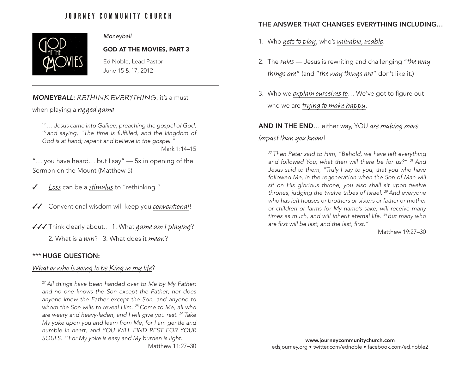# JOURNEY COMMUNITY CHURCH



# *Moneyball*

GOD AT THE MOVIES, PART 3

Ed Noble, Lead Pastor June 15 & 17, 2012

#### **MONEYBALL:** RETHINK EVERYTHING, it's a must

when playing a rigged game.

*14 … Jesus came into Galilee, preaching the gospel of God, 15 and saying, "The time is fulfilled, and the kingdom of God is at hand; repent and believe in the gospel."*

Mark 1:14–15

"… you have heard… but I say" — 5x in opening of the Sermon on the Mount (Matthew 5)

- Uss can be a stimulus to "rethinking."
- $\sqrt{2}$  Conventional wisdom will keep you conventional!
- $\sqrt{\sqrt{\}}$  Think clearly about... 1. What game am I playing?

2. What is a win? 3. What does it mean?

#### \*\*\* HUGE QUESTION:

# What or who is going to be King in my life?

*27 All things have been handed over to Me by My Father; and no one knows the Son except the Father; nor does anyone know the Father except the Son, and anyone to whom the Son wills to reveal Him. 28 Come to Me, all who are weary and heavy-laden, and I will give you rest. 29 Take My yoke upon you and learn from Me, for I am gentle and humble in heart, and YOU WILL FIND REST FOR YOUR SOULS. 30 For My yoke is easy and My burden is light.*

Matthew 11:27–30

# THE ANSWER THAT CHANGES EVERYTHING INCLUDING…

- 1. Who gets to play, who's valuable, usable.
- 2. The rules Jesus is rewriting and challenging "the way things are" (and "the way things are" don't like it.)
- 3. Who we explain ourselves to... We've got to figure out who we are trying to make happy.

## AND IN THE END… either way, YOU are making more

# impact than you know!

*27 Then Peter said to Him, "Behold, we have left everything and followed You; what then will there be for us?" 28 And Jesus said to them, "Truly I say to you, that you who have*  followed Me, in the regeneration when the Son of Man will *sit on His glorious throne, you also shall sit upon twelve thrones, judging the twelve tribes of Israel. 29 And everyone who has left houses or brothers or sisters or father or mother or children or farms for My name's sake, will receive many times as much, and will inherit eternal life. 30 But many who are first will be last; and the last, first."*

Matthew 19:27–30